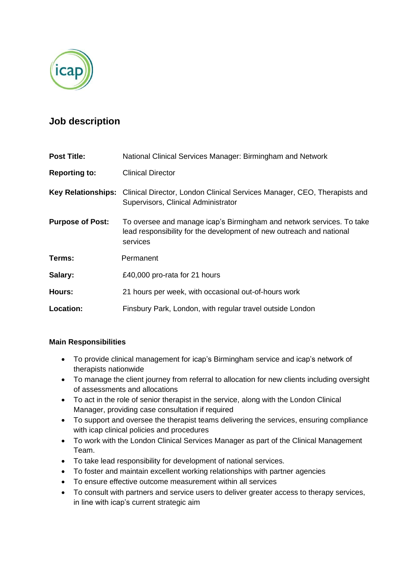

# **Job description**

| <b>Post Title:</b>        | National Clinical Services Manager: Birmingham and Network                                                                                                |
|---------------------------|-----------------------------------------------------------------------------------------------------------------------------------------------------------|
| <b>Reporting to:</b>      | <b>Clinical Director</b>                                                                                                                                  |
| <b>Key Relationships:</b> | Clinical Director, London Clinical Services Manager, CEO, Therapists and<br>Supervisors, Clinical Administrator                                           |
| <b>Purpose of Post:</b>   | To oversee and manage icap's Birmingham and network services. To take<br>lead responsibility for the development of new outreach and national<br>services |
| Terms:                    | Permanent                                                                                                                                                 |
| Salary:                   | £40,000 pro-rata for 21 hours                                                                                                                             |
| Hours:                    | 21 hours per week, with occasional out-of-hours work                                                                                                      |
| Location:                 | Finsbury Park, London, with regular travel outside London                                                                                                 |

### **Main Responsibilities**

- To provide clinical management for icap's Birmingham service and icap's network of therapists nationwide
- To manage the client journey from referral to allocation for new clients including oversight of assessments and allocations
- To act in the role of senior therapist in the service, along with the London Clinical Manager, providing case consultation if required
- To support and oversee the therapist teams delivering the services, ensuring compliance with icap clinical policies and procedures
- To work with the London Clinical Services Manager as part of the Clinical Management Team.
- To take lead responsibility for development of national services.
- To foster and maintain excellent working relationships with partner agencies
- To ensure effective outcome measurement within all services
- To consult with partners and service users to deliver greater access to therapy services, in line with icap's current strategic aim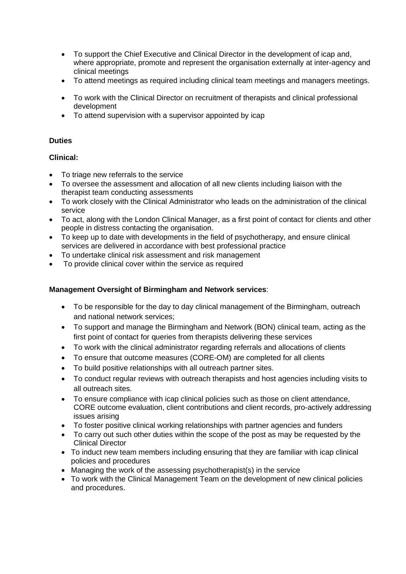- To support the Chief Executive and Clinical Director in the development of icap and, where appropriate, promote and represent the organisation externally at inter-agency and clinical meetings
- To attend meetings as required including clinical team meetings and managers meetings.
- To work with the Clinical Director on recruitment of therapists and clinical professional development
- To attend supervision with a supervisor appointed by icap

### **Duties**

## **Clinical:**

- To triage new referrals to the service
- To oversee the assessment and allocation of all new clients including liaison with the therapist team conducting assessments
- To work closely with the Clinical Administrator who leads on the administration of the clinical service
- To act, along with the London Clinical Manager, as a first point of contact for clients and other people in distress contacting the organisation.
- To keep up to date with developments in the field of psychotherapy, and ensure clinical services are delivered in accordance with best professional practice
- To undertake clinical risk assessment and risk management
- To provide clinical cover within the service as required

# **Management Oversight of Birmingham and Network services**:

- To be responsible for the day to day clinical management of the Birmingham, outreach and national network services;
- To support and manage the Birmingham and Network (BON) clinical team, acting as the first point of contact for queries from therapists delivering these services
- To work with the clinical administrator regarding referrals and allocations of clients
- To ensure that outcome measures (CORE-OM) are completed for all clients
- To build positive relationships with all outreach partner sites.
- To conduct regular reviews with outreach therapists and host agencies including visits to all outreach sites.
- To ensure compliance with icap clinical policies such as those on client attendance, CORE outcome evaluation, client contributions and client records, pro-actively addressing issues arising
- To foster positive clinical working relationships with partner agencies and funders
- To carry out such other duties within the scope of the post as may be requested by the Clinical Director
- To induct new team members including ensuring that they are familiar with icap clinical policies and procedures
- Managing the work of the assessing psychotherapist(s) in the service
- To work with the Clinical Management Team on the development of new clinical policies and procedures.